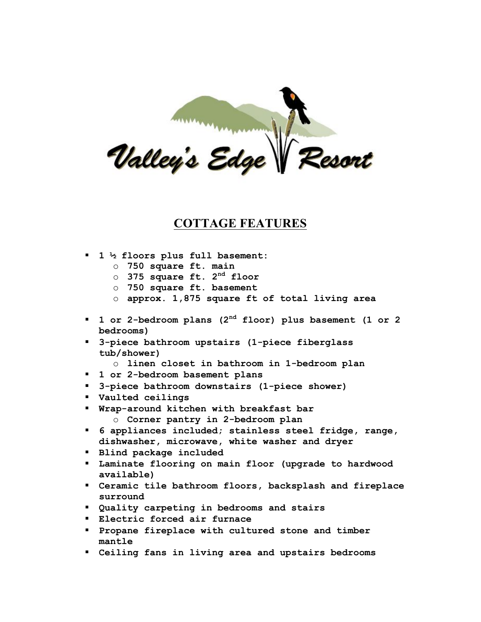

## **COTTAGE FEATURES**

- ! **1 ½ floors plus full basement:**
	- o **750 square ft. main**
	- o **375 square ft. 2nd floor**
	- o **750 square ft. basement**
	- o **approx. 1,875 square ft of total living area**
- ! **1 or 2-bedroom plans (2nd floor) plus basement (1 or 2 bedrooms)**
- ! **3-piece bathroom upstairs (1-piece fiberglass tub/shower)**
	- o **linen closet in bathroom in 1-bedroom plan**
- ! **1 or 2-bedroom basement plans**
- ! **3-piece bathroom downstairs (1-piece shower)**
- ! **Vaulted ceilings**
- ! **Wrap-around kitchen with breakfast bar** o **Corner pantry in 2-bedroom plan**
- ! **6 appliances included; stainless steel fridge, range, dishwasher, microwave, white washer and dryer**
- ! **Blind package included**
- ! **Laminate flooring on main floor (upgrade to hardwood available)**
- ! **Ceramic tile bathroom floors, backsplash and fireplace surround**
- ! **Quality carpeting in bedrooms and stairs**
- ! **Electric forced air furnace**
- ! **Propane fireplace with cultured stone and timber mantle**
- ! **Ceiling fans in living area and upstairs bedrooms**